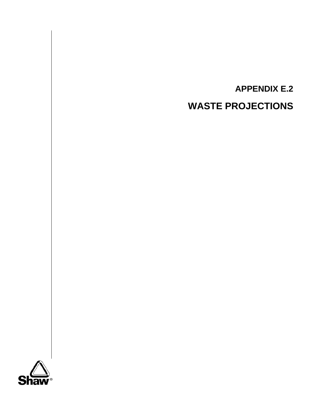

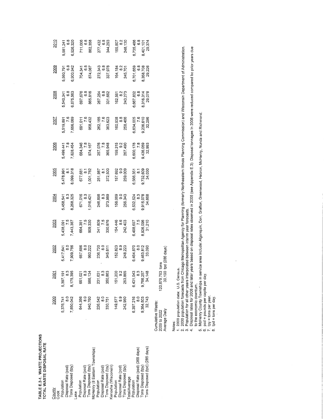TABLE E.2-1. WASTE PROJECTIONS<br>TOTAL WASTE DISPOSAL RATE TABLE E.2-1. WASTE PROJECTIONS TOTAL WASTE DISPOSAL RATE

 $\bar{z}$ 

| County<br>Cook                                       | 2000                                               | 2001                                                       | 2002                                          | 2003                                       | 2004                                          | 2005                                                    | <b>2006</b>                             | 2007                                                     | 2008                                          | 2009                                          | 2010                                          |
|------------------------------------------------------|----------------------------------------------------|------------------------------------------------------------|-----------------------------------------------|--------------------------------------------|-----------------------------------------------|---------------------------------------------------------|-----------------------------------------|----------------------------------------------------------|-----------------------------------------------|-----------------------------------------------|-----------------------------------------------|
| Disposal Rate (pcd)<br>Population                    | 5,376,741<br>$\frac{0}{8}$                         | 5,397,191<br>8,175,395<br>8,175,395                        | 5,417,641<br>7,909,756<br>7,909,756           | 5,438,091<br>7.5<br>7,443,387              | 5,458,541<br>8,268,325<br>8,268,325           |                                                         | 5,499,441<br>7,828,454<br>7,828,454     | 5,519,891<br>7.656,089<br>7,656,089                      | 5,540,341<br>6.875,563<br>6,875,563           | 5,560,791<br>6.8<br>6,900,942                 |                                               |
| Tons Disposed (tpy)<br>Lake                          | 7,850,042                                          |                                                            |                                               |                                            |                                               | 5,478,991<br>8.1<br>8,099,318                           |                                         |                                                          |                                               |                                               | 5,581,241<br>6.8<br>6,926,320                 |
| Population                                           | 644,356                                            | 651,021<br>8.3<br>986,134                                  |                                               |                                            | 671,016<br>8.3<br>1,016,421                   |                                                         | 684,346<br>7.8<br>974,167               |                                                          |                                               |                                               | 711,006<br>6.8<br>882,358                     |
| Disposal Rate (pcd)                                  | $\frac{0}{8}$                                      |                                                            | 657,686<br>80<br>960,222                      | 664,351<br>7.5<br>909,330                  |                                               |                                                         |                                         |                                                          | 697,676<br>6.8<br>865,816                     | 704,341<br>6.8<br>874,087                     |                                               |
| McHenry (8 Eastern Townships)<br>Tons Disposed (tpy) | 940,760                                            |                                                            |                                               |                                            |                                               |                                                         |                                         |                                                          |                                               |                                               |                                               |
| Population                                           | 226,542                                            |                                                            |                                               |                                            |                                               |                                                         |                                         |                                                          |                                               |                                               |                                               |
| Disposal Rate (pcd)<br>Tons Disposed (tpy)           | $\frac{0}{\infty}$                                 |                                                            |                                               |                                            |                                               |                                                         |                                         |                                                          |                                               |                                               |                                               |
| Kenosha (Wisconsin)                                  | 330,751                                            | 231,631<br>8.3<br>350,863<br>151,200<br>153,865<br>253,865 | 236,720<br>8.0<br>345,611                     | 241,809<br>7.5<br>330,976                  | 246,898<br>8.3<br>373,989                     | 677,681<br>1,001,782<br>1,001,782<br>251,987<br>372,500 | 257,076<br>7.8<br>365,948               | 691,011<br>7.6<br>958,432<br>262,165<br>7.623<br>363,623 | 267,254<br>6.8<br>331,662                     | 272,343<br>6.8<br>337,978                     | 277,432<br>6.8<br>344,293                     |
| Population                                           | 149,577                                            |                                                            |                                               |                                            |                                               |                                                         |                                         |                                                          |                                               |                                               |                                               |
| Disposal Rate (pcd)                                  |                                                    |                                                            |                                               |                                            |                                               |                                                         |                                         |                                                          |                                               |                                               |                                               |
| Tons Disposed (tpy)                                  | 242,950                                            |                                                            | 152,823<br>8.9<br>248,223                     | 154,446<br>8.6<br>242,403                  | 156,069<br>9.0<br>256,343                     | 157,692<br>9.0<br>259,009                               | 159,315<br>9.2<br>267,490               | 160,938<br>8.8<br>258,466                                | $162,561$<br>8.2<br>243,273                   | 164, 184<br>8.2<br>245, 701                   | 165,807<br>8.2<br>248,130                     |
| Total/Average<br>Population                          | 6,397,216                                          |                                                            |                                               |                                            |                                               |                                                         |                                         |                                                          |                                               |                                               |                                               |
| Disposal Rate (pcd) (365 days)                       |                                                    | 6,431,043<br>8.3<br>9,766,257<br>94,148                    | 6,464,870<br>8,463,812<br>9,463,812<br>33,090 | 6,498,697<br>7.5<br>8,926,096<br>8,926,096 | 6,532,524<br>8,915,078<br>9,915,078<br>34,668 | 6,566,351<br>8,732,609<br>9,732,609<br>34,030           | 6,600,178<br>7.8<br>9,436,059<br>32,993 | 6,634,005<br>7.6<br>9,236,610<br>32,296                  |                                               | 6,701,659<br>8,358,708<br>8,358,708<br>29,226 |                                               |
| Tons Disposed (tpy)                                  | 9,364,503                                          |                                                            |                                               |                                            |                                               |                                                         |                                         |                                                          |                                               |                                               |                                               |
| Tons Disposed (tpd) (286 days)                       | 32,743                                             |                                                            |                                               |                                            |                                               |                                                         |                                         |                                                          | 6,667,832<br>8,316,314<br>8,316,314<br>29,078 |                                               | 6,735,486<br>8,401,101<br>8,401,101<br>29,374 |
|                                                      | Cumulative Waste:<br>Average Daily<br>2009 to 2022 | 120,879,763 tons<br>30,190 tpd (286 days)                  |                                               |                                            |                                               |                                                         |                                         |                                                          |                                               |                                               |                                               |

1. 2000 population data: U.S. Census.

2. 2030 population forecasts from Chicago Metropolitan Agency for Planning (formerly Northeastern Illinois Planning Commission) and Wisconsin Department of Administration.

3. Population for all other years interpolated between interim year forecasts.

Notes:<br>2. 2000 poulation data: U.S. Census.<br>2. 2000 population forecasts from Chicago Metropolitan Agency for Planning (formerly Northeastern Illinois Planning Commission) and Wisconsin Department of Administration.<br>3. Pop **4.** Disposal rates for 2008 and later years based on disposal rates observed in 2008 (see Appendix E.3). Disposal tonnages in 2008 were reduced compared bo prior years due to the economic downturn.

5. McHenry County Townships in service area include: Algonquin, Dorr, Grafton, Greenwood, Hebron, McHenry, Nunda and Richmond.

6. pcd = pounds per capita per day.

 $7.$  tpy = tons per year.

8. tpd =tons per day.

 $\ddot{\phantom{0}}$